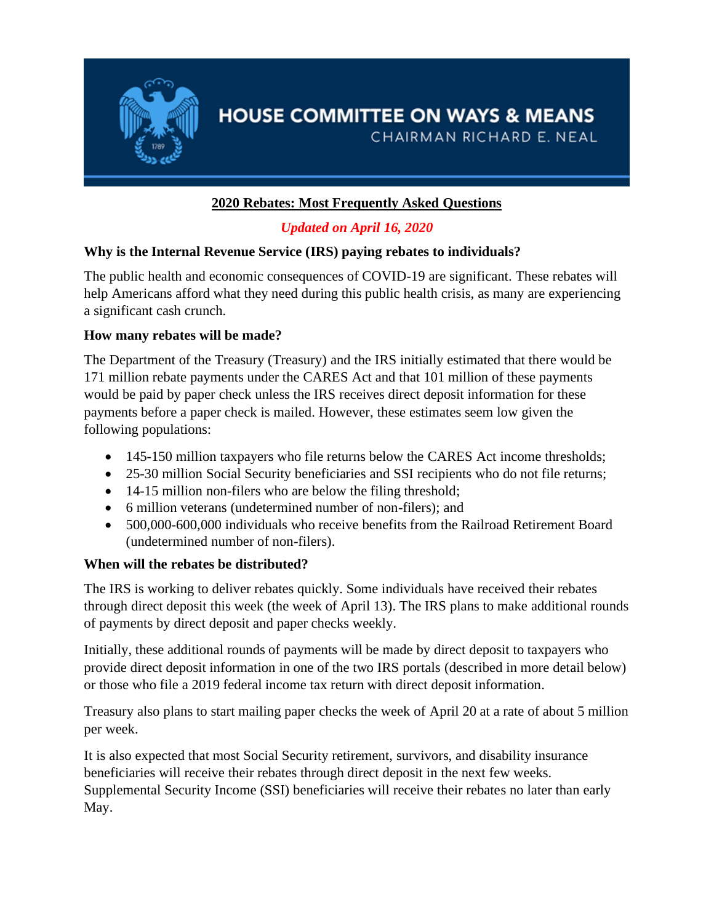

# **HOUSE COMMITTEE ON WAYS & MEANS**

CHAIRMAN RICHARD E. NEAL

# **2020 Rebates: Most Frequently Asked Questions**

# *Updated on April 16, 2020*

# **Why is the Internal Revenue Service (IRS) paying rebates to individuals?**

The public health and economic consequences of COVID-19 are significant. These rebates will help Americans afford what they need during this public health crisis, as many are experiencing a significant cash crunch.

# **How many rebates will be made?**

The Department of the Treasury (Treasury) and the IRS initially estimated that there would be 171 million rebate payments under the CARES Act and that 101 million of these payments would be paid by paper check unless the IRS receives direct deposit information for these payments before a paper check is mailed. However, these estimates seem low given the following populations:

- 145-150 million taxpayers who file returns below the CARES Act income thresholds;
- 25-30 million Social Security beneficiaries and SSI recipients who do not file returns;
- 14-15 million non-filers who are below the filing threshold;
- 6 million veterans (undetermined number of non-filers): and
- 500,000-600,000 individuals who receive benefits from the Railroad Retirement Board (undetermined number of non-filers).

# **When will the rebates be distributed?**

The IRS is working to deliver rebates quickly. Some individuals have received their rebates through direct deposit this week (the week of April 13). The IRS plans to make additional rounds of payments by direct deposit and paper checks weekly.

Initially, these additional rounds of payments will be made by direct deposit to taxpayers who provide direct deposit information in one of the two IRS portals (described in more detail below) or those who file a 2019 federal income tax return with direct deposit information.

Treasury also plans to start mailing paper checks the week of April 20 at a rate of about 5 million per week.

It is also expected that most Social Security retirement, survivors, and disability insurance beneficiaries will receive their rebates through direct deposit in the next few weeks. Supplemental Security Income (SSI) beneficiaries will receive their rebates no later than early May.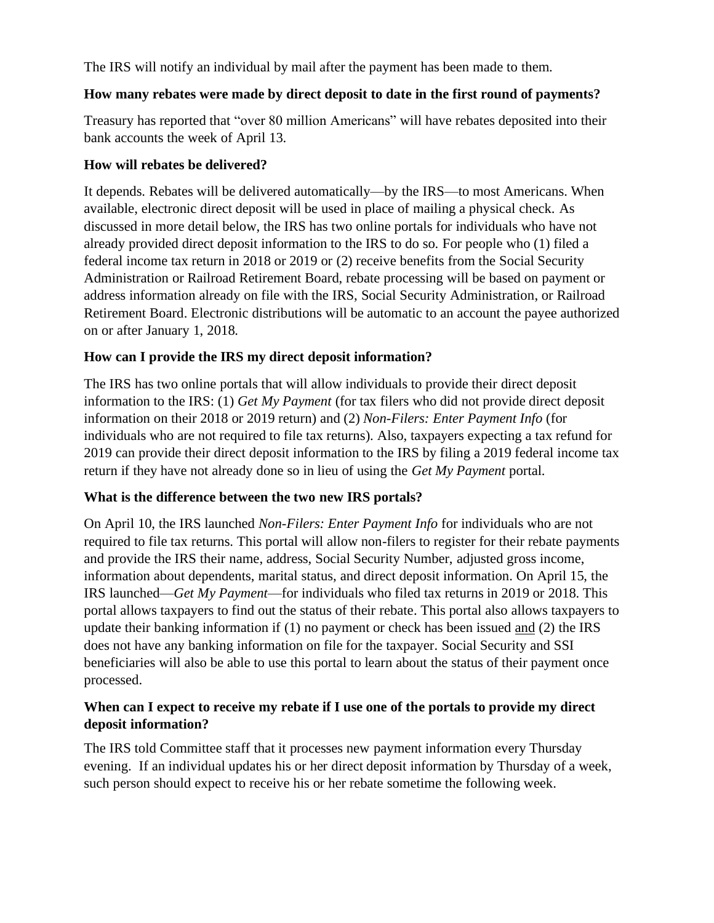The IRS will notify an individual by mail after the payment has been made to them.

#### **How many rebates were made by direct deposit to date in the first round of payments?**

Treasury has reported that "over 80 million Americans" will have rebates deposited into their bank accounts the week of April 13.

#### **How will rebates be delivered?**

It depends. Rebates will be delivered automatically—by the IRS—to most Americans. When available, electronic direct deposit will be used in place of mailing a physical check. As discussed in more detail below, the IRS has two online portals for individuals who have not already provided direct deposit information to the IRS to do so. For people who (1) filed a federal income tax return in 2018 or 2019 or (2) receive benefits from the Social Security Administration or Railroad Retirement Board, rebate processing will be based on payment or address information already on file with the IRS, Social Security Administration, or Railroad Retirement Board. Electronic distributions will be automatic to an account the payee authorized on or after January 1, 2018.

#### **How can I provide the IRS my direct deposit information?**

The IRS has two online portals that will allow individuals to provide their direct deposit information to the IRS: (1) *Get My Payment* (for tax filers who did not provide direct deposit information on their 2018 or 2019 return) and (2) *Non-Filers: Enter Payment Info* (for individuals who are not required to file tax returns). Also, taxpayers expecting a tax refund for 2019 can provide their direct deposit information to the IRS by filing a 2019 federal income tax return if they have not already done so in lieu of using the *Get My Payment* portal.

#### **What is the difference between the two new IRS portals?**

On April 10, the IRS launched *Non-Filers: Enter Payment Info* for individuals who are not required to file tax returns. This portal will allow non-filers to register for their rebate payments and provide the IRS their name, address, Social Security Number, adjusted gross income, information about dependents, marital status, and direct deposit information. On April 15, the IRS launched—*Get My Payment*—for individuals who filed tax returns in 2019 or 2018. This portal allows taxpayers to find out the status of their rebate. This portal also allows taxpayers to update their banking information if (1) no payment or check has been issued and (2) the IRS does not have any banking information on file for the taxpayer. Social Security and SSI beneficiaries will also be able to use this portal to learn about the status of their payment once processed.

#### **When can I expect to receive my rebate if I use one of the portals to provide my direct deposit information?**

The IRS told Committee staff that it processes new payment information every Thursday evening. If an individual updates his or her direct deposit information by Thursday of a week, such person should expect to receive his or her rebate sometime the following week.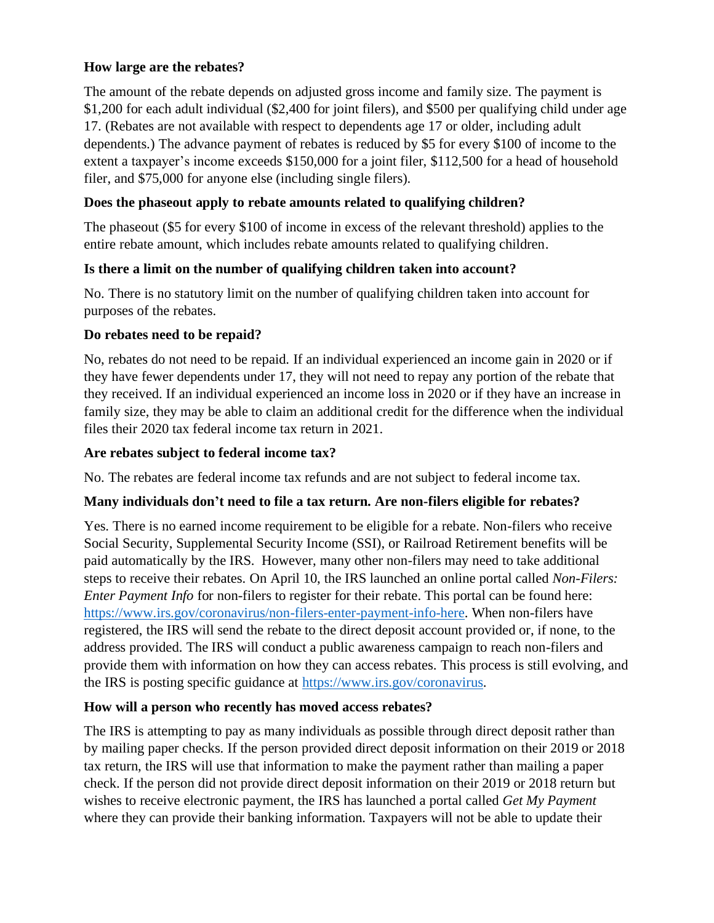#### **How large are the rebates?**

The amount of the rebate depends on adjusted gross income and family size. The payment is \$1,200 for each adult individual (\$2,400 for joint filers), and \$500 per qualifying child under age 17. (Rebates are not available with respect to dependents age 17 or older, including adult dependents.) The advance payment of rebates is reduced by \$5 for every \$100 of income to the extent a taxpayer's income exceeds \$150,000 for a joint filer, \$112,500 for a head of household filer, and \$75,000 for anyone else (including single filers).

# **Does the phaseout apply to rebate amounts related to qualifying children?**

The phaseout (\$5 for every \$100 of income in excess of the relevant threshold) applies to the entire rebate amount, which includes rebate amounts related to qualifying children.

#### **Is there a limit on the number of qualifying children taken into account?**

No. There is no statutory limit on the number of qualifying children taken into account for purposes of the rebates.

## **Do rebates need to be repaid?**

No, rebates do not need to be repaid. If an individual experienced an income gain in 2020 or if they have fewer dependents under 17, they will not need to repay any portion of the rebate that they received. If an individual experienced an income loss in 2020 or if they have an increase in family size, they may be able to claim an additional credit for the difference when the individual files their 2020 tax federal income tax return in 2021.

## **Are rebates subject to federal income tax?**

No. The rebates are federal income tax refunds and are not subject to federal income tax.

#### **Many individuals don't need to file a tax return. Are non-filers eligible for rebates?**

Yes. There is no earned income requirement to be eligible for a rebate. Non-filers who receive Social Security, Supplemental Security Income (SSI), or Railroad Retirement benefits will be paid automatically by the IRS. However, many other non-filers may need to take additional steps to receive their rebates. On April 10, the IRS launched an online portal called *Non-Filers: Enter Payment Info* for non-filers to register for their rebate. This portal can be found here: [https://www.irs.gov/coronavirus/non-filers-enter-payment-info-here.](https://www.irs.gov/coronavirus/non-filers-enter-payment-info-here) When non-filers have registered, the IRS will send the rebate to the direct deposit account provided or, if none, to the address provided. The IRS will conduct a public awareness campaign to reach non-filers and provide them with information on how they can access rebates. This process is still evolving, and the IRS is posting specific guidance at [https://www.irs.gov/coronavirus.](https://www.irs.gov/coronavirus)

#### **How will a person who recently has moved access rebates?**

The IRS is attempting to pay as many individuals as possible through direct deposit rather than by mailing paper checks. If the person provided direct deposit information on their 2019 or 2018 tax return, the IRS will use that information to make the payment rather than mailing a paper check. If the person did not provide direct deposit information on their 2019 or 2018 return but wishes to receive electronic payment, the IRS has launched a portal called *Get My Payment*  where they can provide their banking information. Taxpayers will not be able to update their